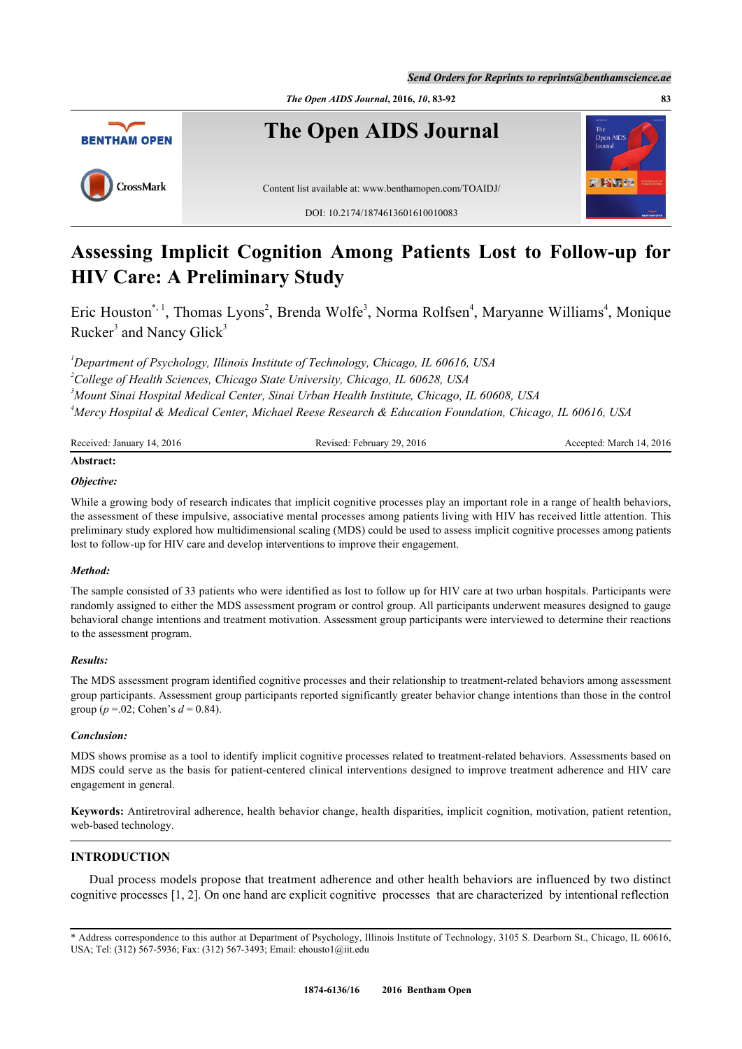

# **Assessing Implicit Cognition Among Patients Lost to Follow-up for HIV Care: A Preliminary Study**

Eric Houston[\\*](#page-0-0), <sup>1</sup>, Thomas Lyons<sup>[2](#page-0-2)</sup>, Brenda Wolfe<sup>[3](#page-0-3)</sup>, Norma Rolfsen<sup>[4](#page-0-4)</sup>, Maryanne Williams<sup>4</sup>, Monique Rucker<sup>[3](#page-0-3)</sup> and Nancy Glick<sup>3</sup>

<span id="page-0-3"></span><span id="page-0-2"></span><span id="page-0-1"></span>*Department of Psychology, Illinois Institute of Technology, Chicago, IL 60616, USA College of Health Sciences, Chicago State University, Chicago, IL 60628, USA Mount Sinai Hospital Medical Center, Sinai Urban Health Institute, Chicago, IL 60608, USA Mercy Hospital & Medical Center, Michael Reese Research & Education Foundation, Chicago, IL 60616, USA*

<span id="page-0-4"></span>

| Received: January 14, 2016 | Revised: February 29, 2016 | Accepted: March 14, 2016 |
|----------------------------|----------------------------|--------------------------|
| Abstract:                  |                            |                          |

## *Objective:*

While a growing body of research indicates that implicit cognitive processes play an important role in a range of health behaviors, the assessment of these impulsive, associative mental processes among patients living with HIV has received little attention. This preliminary study explored how multidimensional scaling (MDS) could be used to assess implicit cognitive processes among patients lost to follow-up for HIV care and develop interventions to improve their engagement.

#### *Method:*

The sample consisted of 33 patients who were identified as lost to follow up for HIV care at two urban hospitals. Participants were randomly assigned to either the MDS assessment program or control group. All participants underwent measures designed to gauge behavioral change intentions and treatment motivation. Assessment group participants were interviewed to determine their reactions to the assessment program.

#### *Results:*

The MDS assessment program identified cognitive processes and their relationship to treatment-related behaviors among assessment group participants. Assessment group participants reported significantly greater behavior change intentions than those in the control group ( $p = 0.02$ ; Cohen's  $d = 0.84$ ).

## *Conclusion:*

MDS shows promise as a tool to identify implicit cognitive processes related to treatment-related behaviors. Assessments based on MDS could serve as the basis for patient-centered clinical interventions designed to improve treatment adherence and HIV care engagement in general.

**Keywords:** Antiretroviral adherence, health behavior change, health disparities, implicit cognition, motivation, patient retention, web-based technology.

# **INTRODUCTION**

Dual process models propose that treatment adherence and other health behaviors are influenced by two distinct cognitive processes [[1,](#page-7-0) [2\]](#page-7-1). On one hand are explicit cognitive processes that are characterized by intentional reflection

<span id="page-0-0"></span><sup>\*</sup> Address correspondence to this author at Department of Psychology, Illinois Institute of Technology, 3105 S. Dearborn St., Chicago, IL 60616, USA; Tel: (312) 567-5936; Fax: (312) 567-3493; Email: [ehousto1@iit.edu](mailto:ehousto1@iit.edu)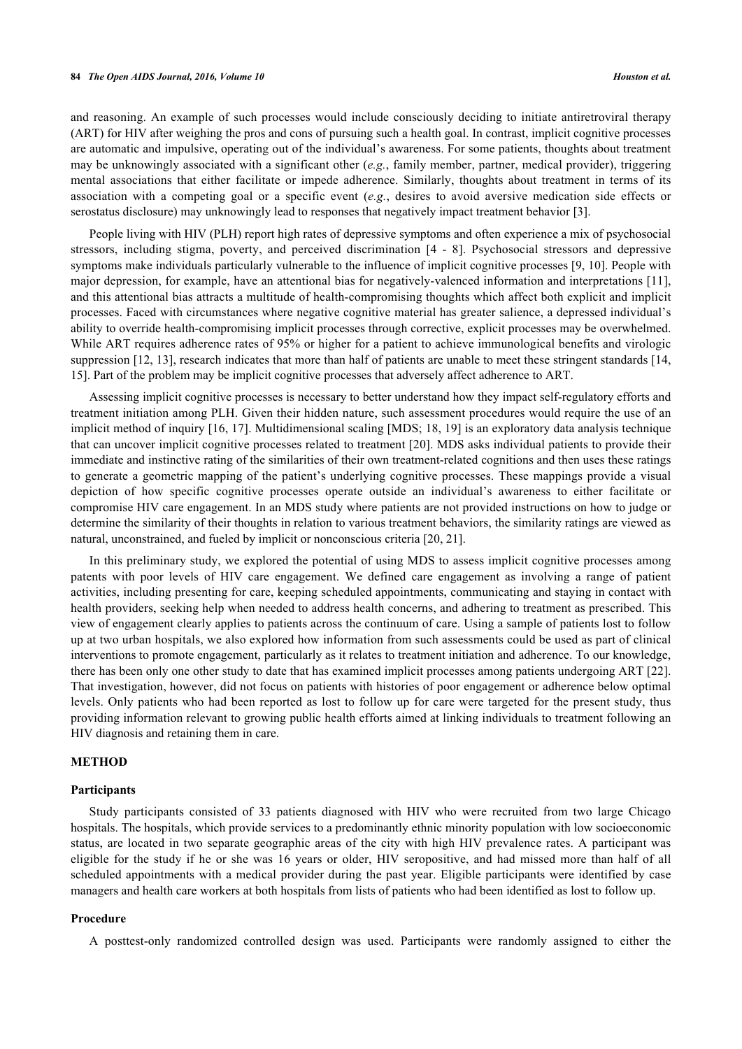#### **84** *The Open AIDS Journal, 2016, Volume 10 Houston et al.*

and reasoning. An example of such processes would include consciously deciding to initiate antiretroviral therapy (ART) for HIV after weighing the pros and cons of pursuing such a health goal. In contrast, implicit cognitive processes are automatic and impulsive, operating out of the individual's awareness. For some patients, thoughts about treatment may be unknowingly associated with a significant other (*e.g.*, family member, partner, medical provider), triggering mental associations that either facilitate or impede adherence. Similarly, thoughts about treatment in terms of its association with a competing goal or a specific event (*e.g.*, desires to avoid aversive medication side effects or serostatus disclosure) may unknowingly lead to responses that negatively impact treatment behavior [\[3](#page-7-2)].

People living with HIV (PLH) report high rates of depressive symptoms and often experience a mix of psychosocial stressors, including stigma, poverty, and perceived discrimination [\[4](#page-7-3) - [8](#page-7-4)]. Psychosocial stressors and depressive symptoms make individuals particularly vulnerable to the influence of implicit cognitive processes [[9,](#page-7-5) [10](#page-8-0)]. People with major depression, for example, have an attentional bias for negatively-valenced information and interpretations [\[11\]](#page-8-1), and this attentional bias attracts a multitude of health-compromising thoughts which affect both explicit and implicit processes. Faced with circumstances where negative cognitive material has greater salience, a depressed individual's ability to override health-compromising implicit processes through corrective, explicit processes may be overwhelmed. While ART requires adherence rates of 95% or higher for a patient to achieve immunological benefits and virologic suppression [\[12](#page-8-2), [13\]](#page-8-3), research indicates that more than half of patients are unable to meet these stringent standards [[14](#page-8-4), [15\]](#page-8-5). Part of the problem may be implicit cognitive processes that adversely affect adherence to ART.

Assessing implicit cognitive processes is necessary to better understand how they impact self-regulatory efforts and treatment initiation among PLH. Given their hidden nature, such assessment procedures would require the use of an implicit method of inquiry [[16,](#page-8-6) [17](#page-8-7)]. Multidimensional scaling [MDS; [18,](#page-8-8) [19](#page-8-9)] is an exploratory data analysis technique that can uncover implicit cognitive processes related to treatment [[20\]](#page-8-10). MDS asks individual patients to provide their immediate and instinctive rating of the similarities of their own treatment-related cognitions and then uses these ratings to generate a geometric mapping of the patient's underlying cognitive processes. These mappings provide a visual depiction of how specific cognitive processes operate outside an individual's awareness to either facilitate or compromise HIV care engagement. In an MDS study where patients are not provided instructions on how to judge or determine the similarity of their thoughts in relation to various treatment behaviors, the similarity ratings are viewed as natural, unconstrained, and fueled by implicit or nonconscious criteria [\[20](#page-8-10), [21](#page-8-11)].

In this preliminary study, we explored the potential of using MDS to assess implicit cognitive processes among patents with poor levels of HIV care engagement. We defined care engagement as involving a range of patient activities, including presenting for care, keeping scheduled appointments, communicating and staying in contact with health providers, seeking help when needed to address health concerns, and adhering to treatment as prescribed. This view of engagement clearly applies to patients across the continuum of care. Using a sample of patients lost to follow up at two urban hospitals, we also explored how information from such assessments could be used as part of clinical interventions to promote engagement, particularly as it relates to treatment initiation and adherence. To our knowledge, there has been only one other study to date that has examined implicit processes among patients undergoing ART [[22\]](#page-8-12). That investigation, however, did not focus on patients with histories of poor engagement or adherence below optimal levels. Only patients who had been reported as lost to follow up for care were targeted for the present study, thus providing information relevant to growing public health efforts aimed at linking individuals to treatment following an HIV diagnosis and retaining them in care.

## **METHOD**

#### **Participants**

Study participants consisted of 33 patients diagnosed with HIV who were recruited from two large Chicago hospitals. The hospitals, which provide services to a predominantly ethnic minority population with low socioeconomic status, are located in two separate geographic areas of the city with high HIV prevalence rates. A participant was eligible for the study if he or she was 16 years or older, HIV seropositive, and had missed more than half of all scheduled appointments with a medical provider during the past year. Eligible participants were identified by case managers and health care workers at both hospitals from lists of patients who had been identified as lost to follow up.

## **Procedure**

A posttest-only randomized controlled design was used. Participants were randomly assigned to either the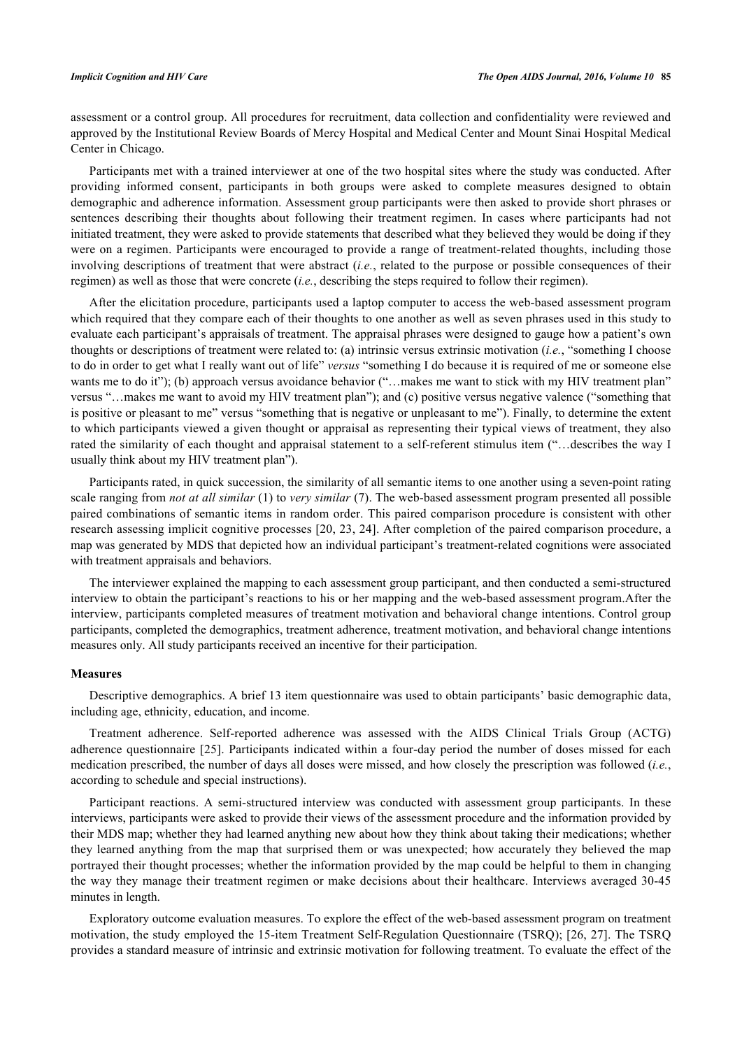assessment or a control group. All procedures for recruitment, data collection and confidentiality were reviewed and approved by the Institutional Review Boards of Mercy Hospital and Medical Center and Mount Sinai Hospital Medical Center in Chicago.

Participants met with a trained interviewer at one of the two hospital sites where the study was conducted. After providing informed consent, participants in both groups were asked to complete measures designed to obtain demographic and adherence information. Assessment group participants were then asked to provide short phrases or sentences describing their thoughts about following their treatment regimen. In cases where participants had not initiated treatment, they were asked to provide statements that described what they believed they would be doing if they were on a regimen. Participants were encouraged to provide a range of treatment-related thoughts, including those involving descriptions of treatment that were abstract (*i.e.*, related to the purpose or possible consequences of their regimen) as well as those that were concrete (*i.e.*, describing the steps required to follow their regimen).

After the elicitation procedure, participants used a laptop computer to access the web-based assessment program which required that they compare each of their thoughts to one another as well as seven phrases used in this study to evaluate each participant's appraisals of treatment. The appraisal phrases were designed to gauge how a patient's own thoughts or descriptions of treatment were related to: (a) intrinsic versus extrinsic motivation (*i.e.*, "something I choose to do in order to get what I really want out of life" *versus* "something I do because it is required of me or someone else wants me to do it"); (b) approach versus avoidance behavior ("...makes me want to stick with my HIV treatment plan" versus "…makes me want to avoid my HIV treatment plan"); and (c) positive versus negative valence ("something that is positive or pleasant to me" versus "something that is negative or unpleasant to me"). Finally, to determine the extent to which participants viewed a given thought or appraisal as representing their typical views of treatment, they also rated the similarity of each thought and appraisal statement to a self-referent stimulus item ("…describes the way I usually think about my HIV treatment plan").

Participants rated, in quick succession, the similarity of all semantic items to one another using a seven-point rating scale ranging from *not at all similar* (1) to *very similar* (7). The web-based assessment program presented all possible paired combinations of semantic items in random order. This paired comparison procedure is consistent with other research assessing implicit cognitive processes [[20,](#page-8-10) [23,](#page-8-13) [24\]](#page-8-14). After completion of the paired comparison procedure, a map was generated by MDS that depicted how an individual participant's treatment-related cognitions were associated with treatment appraisals and behaviors.

The interviewer explained the mapping to each assessment group participant, and then conducted a semi-structured interview to obtain the participant's reactions to his or her mapping and the web-based assessment program.After the interview, participants completed measures of treatment motivation and behavioral change intentions. Control group participants, completed the demographics, treatment adherence, treatment motivation, and behavioral change intentions measures only. All study participants received an incentive for their participation.

## **Measures**

Descriptive demographics. A brief 13 item questionnaire was used to obtain participants' basic demographic data, including age, ethnicity, education, and income.

Treatment adherence. Self-reported adherence was assessed with the AIDS Clinical Trials Group (ACTG) adherence questionnaire [[25](#page-8-15)]. Participants indicated within a four-day period the number of doses missed for each medication prescribed, the number of days all doses were missed, and how closely the prescription was followed (*i.e.*, according to schedule and special instructions).

Participant reactions. A semi-structured interview was conducted with assessment group participants. In these interviews, participants were asked to provide their views of the assessment procedure and the information provided by their MDS map; whether they had learned anything new about how they think about taking their medications; whether they learned anything from the map that surprised them or was unexpected; how accurately they believed the map portrayed their thought processes; whether the information provided by the map could be helpful to them in changing the way they manage their treatment regimen or make decisions about their healthcare. Interviews averaged 30-45 minutes in length.

Exploratory outcome evaluation measures. To explore the effect of the web-based assessment program on treatment motivation, the study employed the 15-item Treatment Self-Regulation Questionnaire (TSRQ); [26, 27]. The TSRQ provides a standard measure of intrinsic and extrinsic motivation for following treatment. To evaluate the effect of the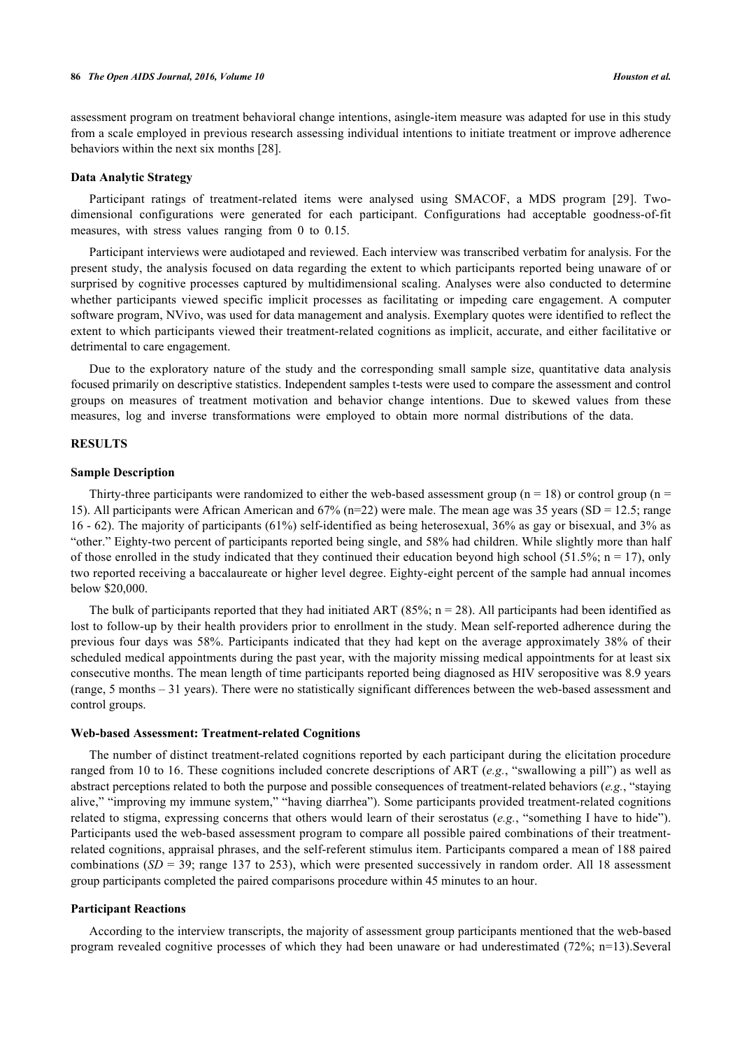assessment program on treatment behavioral change intentions, asingle-item measure was adapted for use in this study from a scale employed in previous research assessing individual intentions to initiate treatment or improve adherence behaviors within the next six months [\[28](#page-8-16)].

#### **Data Analytic Strategy**

Participant ratings of treatment-related items were analysed using SMACOF, a MDS program[[29](#page-8-17)]. Twodimensional configurations were generated for each participant. Configurations had acceptable goodness-of-fit measures, with stress values ranging from 0 to 0.15.

Participant interviews were audiotaped and reviewed. Each interview was transcribed verbatim for analysis. For the present study, the analysis focused on data regarding the extent to which participants reported being unaware of or surprised by cognitive processes captured by multidimensional scaling. Analyses were also conducted to determine whether participants viewed specific implicit processes as facilitating or impeding care engagement. A computer software program, NVivo, was used for data management and analysis. Exemplary quotes were identified to reflect the extent to which participants viewed their treatment-related cognitions as implicit, accurate, and either facilitative or detrimental to care engagement.

Due to the exploratory nature of the study and the corresponding small sample size, quantitative data analysis focused primarily on descriptive statistics. Independent samples t-tests were used to compare the assessment and control groups on measures of treatment motivation and behavior change intentions. Due to skewed values from these measures, log and inverse transformations were employed to obtain more normal distributions of the data.

# **RESULTS**

#### **Sample Description**

Thirty-three participants were randomized to either the web-based assessment group ( $n = 18$ ) or control group ( $n = 18$ ) 15). All participants were African American and  $67\%$  (n=22) were male. The mean age was 35 years (SD = 12.5; range 16 - 62). The majority of participants (61%) self-identified as being heterosexual, 36% as gay or bisexual, and 3% as "other." Eighty-two percent of participants reported being single, and 58% had children. While slightly more than half of those enrolled in the study indicated that they continued their education beyond high school (51.5%;  $n = 17$ ), only two reported receiving a baccalaureate or higher level degree. Eighty-eight percent of the sample had annual incomes below \$20,000.

The bulk of participants reported that they had initiated ART (85%;  $n = 28$ ). All participants had been identified as lost to follow-up by their health providers prior to enrollment in the study. Mean self-reported adherence during the previous four days was 58%. Participants indicated that they had kept on the average approximately 38% of their scheduled medical appointments during the past year, with the majority missing medical appointments for at least six consecutive months. The mean length of time participants reported being diagnosed as HIV seropositive was 8.9 years (range, 5 months – 31 years). There were no statistically significant differences between the web-based assessment and control groups.

#### **Web-based Assessment: Treatment-related Cognitions**

The number of distinct treatment-related cognitions reported by each participant during the elicitation procedure ranged from 10 to 16. These cognitions included concrete descriptions of ART (*e.g.*, "swallowing a pill") as well as abstract perceptions related to both the purpose and possible consequences of treatment-related behaviors (*e.g.*, "staying alive," "improving my immune system," "having diarrhea"). Some participants provided treatment-related cognitions related to stigma, expressing concerns that others would learn of their serostatus (*e.g.*, "something I have to hide"). Participants used the web-based assessment program to compare all possible paired combinations of their treatmentrelated cognitions, appraisal phrases, and the self-referent stimulus item. Participants compared a mean of 188 paired combinations (*SD* = 39; range 137 to 253), which were presented successively in random order. All 18 assessment group participants completed the paired comparisons procedure within 45 minutes to an hour.

## **Participant Reactions**

According to the interview transcripts, the majority of assessment group participants mentioned that the web-based program revealed cognitive processes of which they had been unaware or had underestimated (72%; n=13).Several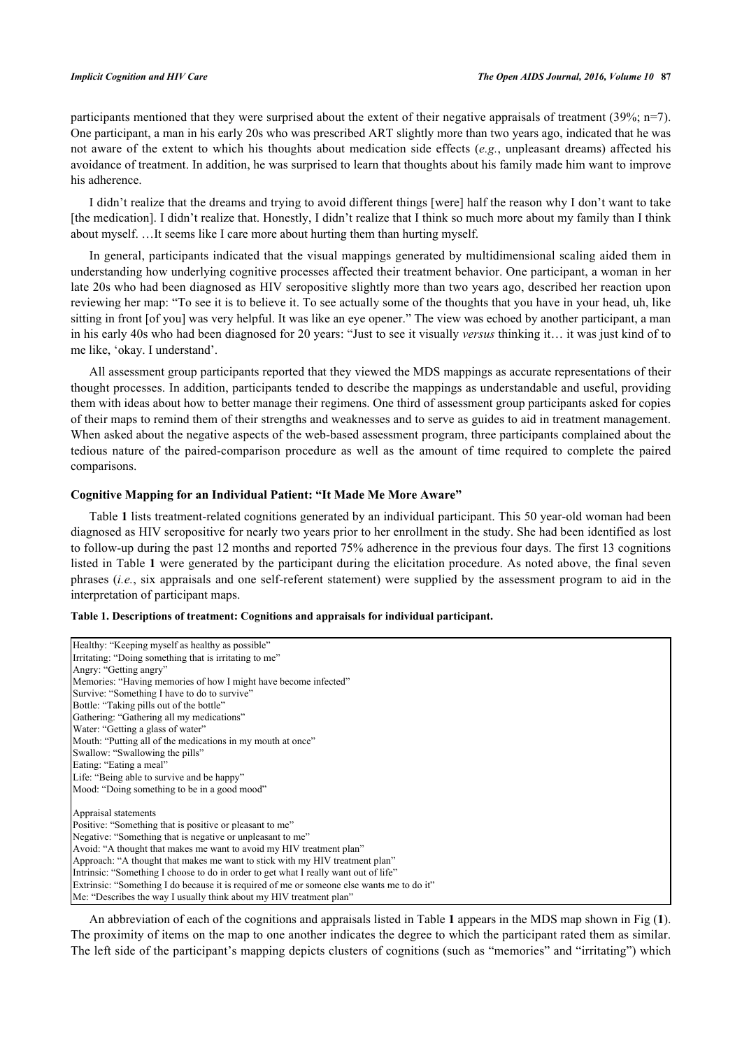participants mentioned that they were surprised about the extent of their negative appraisals of treatment (39%; n=7). One participant, a man in his early 20s who was prescribed ART slightly more than two years ago, indicated that he was not aware of the extent to which his thoughts about medication side effects (*e.g.*, unpleasant dreams) affected his avoidance of treatment. In addition, he was surprised to learn that thoughts about his family made him want to improve his adherence.

I didn't realize that the dreams and trying to avoid different things [were] half the reason why I don't want to take [the medication]. I didn't realize that. Honestly, I didn't realize that I think so much more about my family than I think about myself. …It seems like I care more about hurting them than hurting myself.

In general, participants indicated that the visual mappings generated by multidimensional scaling aided them in understanding how underlying cognitive processes affected their treatment behavior. One participant, a woman in her late 20s who had been diagnosed as HIV seropositive slightly more than two years ago, described her reaction upon reviewing her map: "To see it is to believe it. To see actually some of the thoughts that you have in your head, uh, like sitting in front [of you] was very helpful. It was like an eye opener." The view was echoed by another participant, a man in his early 40s who had been diagnosed for 20 years: "Just to see it visually *versus* thinking it… it was just kind of to me like, 'okay. I understand'.

All assessment group participants reported that they viewed the MDS mappings as accurate representations of their thought processes. In addition, participants tended to describe the mappings as understandable and useful, providing them with ideas about how to better manage their regimens. One third of assessment group participants asked for copies of their maps to remind them of their strengths and weaknesses and to serve as guides to aid in treatment management. When asked about the negative aspects of the web-based assessment program, three participants complained about the tedious nature of the paired-comparison procedure as well as the amount of time required to complete the paired comparisons.

### **Cognitive Mapping for an Individual Patient: "It Made Me More Aware"**

Table **[1](#page-4-0)** lists treatment-related cognitions generated by an individual participant. This 50 year-old woman had been diagnosed as HIV seropositive for nearly two years prior to her enrollment in the study. She had been identified as lost to follow-up during the past 12 months and reported 75% adherence in the previous four days. The first 13 cognitions listed in Table **[1](#page-4-0)** were generated by the participant during the elicitation procedure. As noted above, the final seven phrases (*i.e.*, six appraisals and one self-referent statement) were supplied by the assessment program to aid in the interpretation of participant maps.

#### <span id="page-4-0"></span>**Table 1. Descriptions of treatment: Cognitions and appraisals for individual participant.**

| Healthy: "Keeping myself as healthy as possible"                                           |
|--------------------------------------------------------------------------------------------|
| Irritating: "Doing something that is irritating to me"                                     |
| Angry: "Getting angry"                                                                     |
| Memories: "Having memories of how I might have become infected"                            |
| Survive: "Something I have to do to survive"                                               |
| Bottle: "Taking pills out of the bottle"                                                   |
| Gathering: "Gathering all my medications"                                                  |
| Water: "Getting a glass of water"                                                          |
| Mouth: "Putting all of the medications in my mouth at once"                                |
| Swallow: "Swallowing the pills"                                                            |
| Eating: "Eating a meal"                                                                    |
| Life: "Being able to survive and be happy"                                                 |
| Mood: "Doing something to be in a good mood"                                               |
|                                                                                            |
| Appraisal statements                                                                       |
| Positive: "Something that is positive or pleasant to me"                                   |
| Negative: "Something that is negative or unpleasant to me"                                 |
| Avoid: "A thought that makes me want to avoid my HIV treatment plan"                       |
| Approach: "A thought that makes me want to stick with my HIV treatment plan"               |
| Intrinsic: "Something I choose to do in order to get what I really want out of life"       |
| Extrinsic: "Something I do because it is required of me or someone else wants me to do it" |
| Me: "Describes the way I usually think about my HIV treatment plan"                        |

An abbreviation of each of the cognitions and appraisals listed in Table **[1](#page-4-0)** appears in the MDS map shown in Fig (**[1](#page-5-0)**). The proximity of items on the map to one another indicates the degree to which the participant rated them as similar. The left side of the participant's mapping depicts clusters of cognitions (such as "memories" and "irritating") which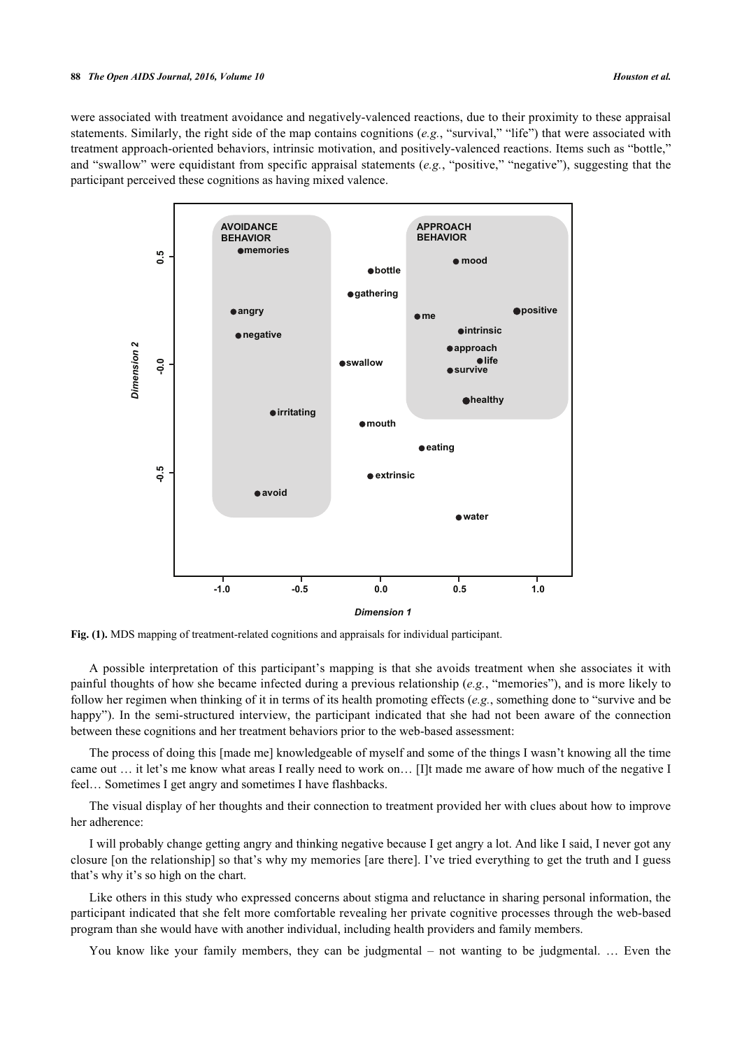#### **88** *The Open AIDS Journal, 2016, Volume 10 Houston et al.*

<span id="page-5-0"></span>were associated with treatment avoidance and negatively-valenced reactions, due to their proximity to these appraisal statements. Similarly, the right side of the map contains cognitions (*e.g.*, "survival," "life") that were associated with treatment approach-oriented behaviors, intrinsic motivation, and positively-valenced reactions. Items such as "bottle," and "swallow" were equidistant from specific appraisal statements (*e.g.*, "positive," "negative"), suggesting that the participant perceived these cognitions as having mixed valence.



**Fig. (1).** MDS mapping of treatment-related cognitions and appraisals for individual participant.

A possible interpretation of this participant's mapping is that she avoids treatment when she associates it with painful thoughts of how she became infected during a previous relationship (*e.g.*, "memories"), and is more likely to follow her regimen when thinking of it in terms of its health promoting effects (*e.g.*, something done to "survive and be happy"). In the semi-structured interview, the participant indicated that she had not been aware of the connection between these cognitions and her treatment behaviors prior to the web-based assessment:

The process of doing this [made me] knowledgeable of myself and some of the things I wasn't knowing all the time came out … it let's me know what areas I really need to work on… [I]t made me aware of how much of the negative I feel… Sometimes I get angry and sometimes I have flashbacks.

The visual display of her thoughts and their connection to treatment provided her with clues about how to improve her adherence:

I will probably change getting angry and thinking negative because I get angry a lot. And like I said, I never got any closure [on the relationship] so that's why my memories [are there]. I've tried everything to get the truth and I guess that's why it's so high on the chart.

Like others in this study who expressed concerns about stigma and reluctance in sharing personal information, the participant indicated that she felt more comfortable revealing her private cognitive processes through the web-based program than she would have with another individual, including health providers and family members.

You know like your family members, they can be judgmental – not wanting to be judgmental. … Even the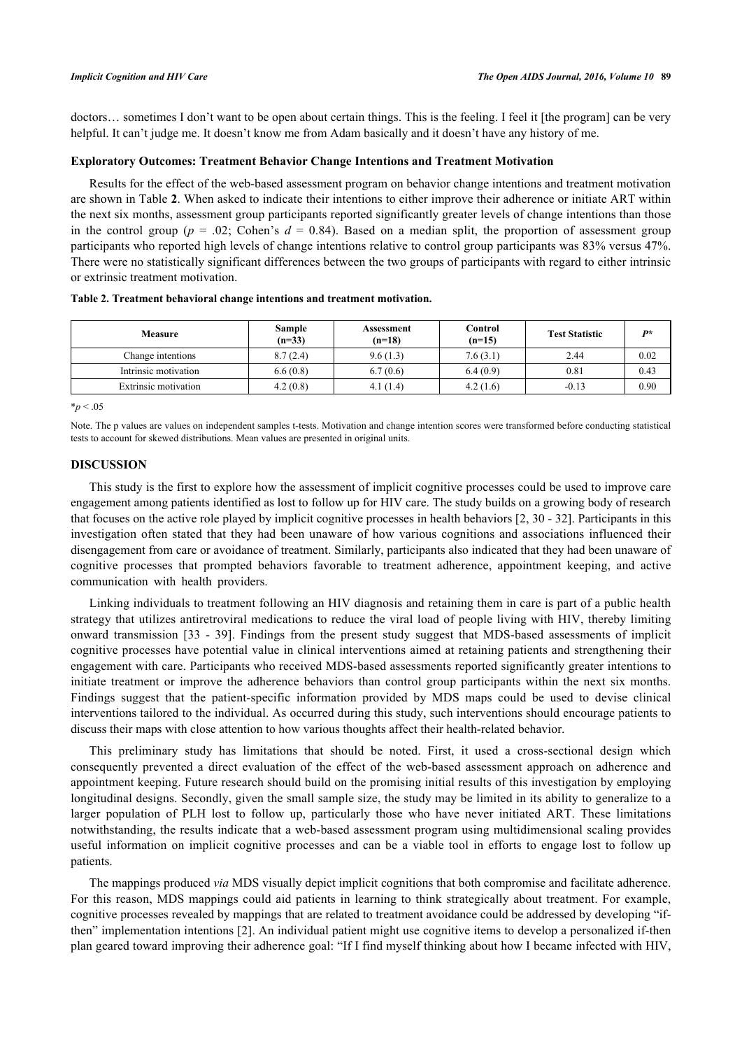doctors… sometimes I don't want to be open about certain things. This is the feeling. I feel it [the program] can be very helpful. It can't judge me. It doesn't know me from Adam basically and it doesn't have any history of me.

## **Exploratory Outcomes: Treatment Behavior Change Intentions and Treatment Motivation**

Results for the effect of the web-based assessment program on behavior change intentions and treatment motivation are shown in Table **[2](#page-6-0)**. When asked to indicate their intentions to either improve their adherence or initiate ART within the next six months, assessment group participants reported significantly greater levels of change intentions than those in the control group ( $p = .02$ ; Cohen's  $d = 0.84$ ). Based on a median split, the proportion of assessment group participants who reported high levels of change intentions relative to control group participants was 83% versus 47%. There were no statistically significant differences between the two groups of participants with regard to either intrinsic or extrinsic treatment motivation.

<span id="page-6-0"></span>

| Table 2. Treatment behavioral change intentions and treatment motivation. |                    |                        |                     |    |  |  |  |  |  |
|---------------------------------------------------------------------------|--------------------|------------------------|---------------------|----|--|--|--|--|--|
| Measure                                                                   | Sample<br>$(n=33)$ | Assessment<br>$(n=18)$ | Control<br>$(n=15)$ | Tε |  |  |  |  |  |

| <b>Measure</b>       | Sample<br>$(n=33)$ | Assessment<br>$(n=18)$ | Control<br>$(n=15)$ | <b>Test Statistic</b> | D*   |
|----------------------|--------------------|------------------------|---------------------|-----------------------|------|
| Change intentions    | 8.7(2.4)           | 9.6(1.3)               | 7.6(3.1)            | 2.44                  | 0.02 |
| Intrinsic motivation | 6.6(0.8)           | 6.7(0.6)               | 6.4(0.9)            | 0.81                  | 0.43 |
| Extrinsic motivation | 4.2(0.8)           | 4.1(1.4)               | 4.2(1.6)            | $-0.13$               | 0.90 |
|                      |                    |                        |                     |                       |      |

 $*_{p}$  < .05

Note. The p values are values on independent samples t-tests. Motivation and change intention scores were transformed before conducting statistical tests to account for skewed distributions. Mean values are presented in original units.

### **DISCUSSION**

This study is the first to explore how the assessment of implicit cognitive processes could be used to improve care engagement among patients identified as lost to follow up for HIV care. The study builds on a growing body of research that focuses on the active role played by implicit cognitive processes in health behaviors [[2](#page-7-1), [30](#page-8-18) - [32\]](#page-8-19). Participants in this investigation often stated that they had been unaware of how various cognitions and associations influenced their disengagement from care or avoidance of treatment. Similarly, participants also indicated that they had been unaware of cognitive processes that prompted behaviors favorable to treatment adherence, appointment keeping, and active communication with health providers.

Linking individuals to treatment following an HIV diagnosis and retaining them in care is part of a public health strategy that utilizes antiretroviral medications to reduce the viral load of people living with HIV, thereby limiting onward transmission[[33](#page-8-20) - [39\]](#page-9-0). Findings from the present study suggest that MDS-based assessments of implicit cognitive processes have potential value in clinical interventions aimed at retaining patients and strengthening their engagement with care. Participants who received MDS-based assessments reported significantly greater intentions to initiate treatment or improve the adherence behaviors than control group participants within the next six months. Findings suggest that the patient-specific information provided by MDS maps could be used to devise clinical interventions tailored to the individual. As occurred during this study, such interventions should encourage patients to discuss their maps with close attention to how various thoughts affect their health-related behavior.

This preliminary study has limitations that should be noted. First, it used a cross-sectional design which consequently prevented a direct evaluation of the effect of the web-based assessment approach on adherence and appointment keeping. Future research should build on the promising initial results of this investigation by employing longitudinal designs. Secondly, given the small sample size, the study may be limited in its ability to generalize to a larger population of PLH lost to follow up, particularly those who have never initiated ART. These limitations notwithstanding, the results indicate that a web-based assessment program using multidimensional scaling provides useful information on implicit cognitive processes and can be a viable tool in efforts to engage lost to follow up patients.

The mappings produced *via* MDS visually depict implicit cognitions that both compromise and facilitate adherence. For this reason, MDS mappings could aid patients in learning to think strategically about treatment. For example, cognitive processes revealed by mappings that are related to treatment avoidance could be addressed by developing "ifthen" implementation intentions [[2\]](#page-7-1). An individual patient might use cognitive items to develop a personalized if-then plan geared toward improving their adherence goal: "If I find myself thinking about how I became infected with HIV,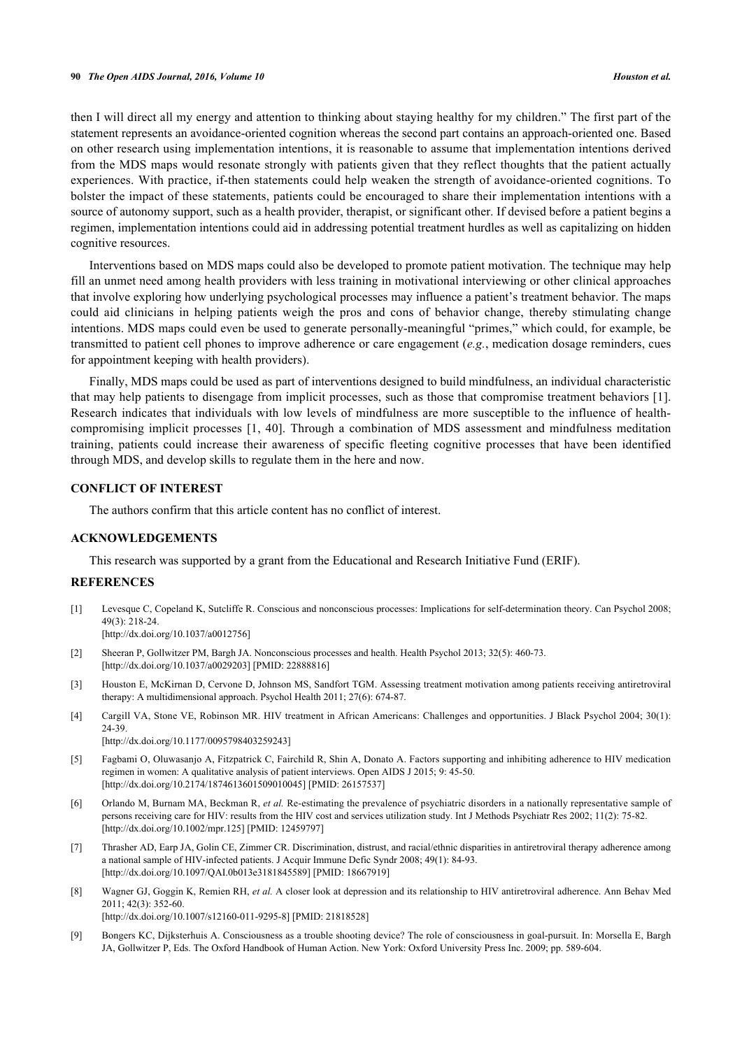then I will direct all my energy and attention to thinking about staying healthy for my children." The first part of the statement represents an avoidance-oriented cognition whereas the second part contains an approach-oriented one. Based on other research using implementation intentions, it is reasonable to assume that implementation intentions derived from the MDS maps would resonate strongly with patients given that they reflect thoughts that the patient actually experiences. With practice, if-then statements could help weaken the strength of avoidance-oriented cognitions. To bolster the impact of these statements, patients could be encouraged to share their implementation intentions with a source of autonomy support, such as a health provider, therapist, or significant other. If devised before a patient begins a regimen, implementation intentions could aid in addressing potential treatment hurdles as well as capitalizing on hidden cognitive resources.

Interventions based on MDS maps could also be developed to promote patient motivation. The technique may help fill an unmet need among health providers with less training in motivational interviewing or other clinical approaches that involve exploring how underlying psychological processes may influence a patient's treatment behavior. The maps could aid clinicians in helping patients weigh the pros and cons of behavior change, thereby stimulating change intentions. MDS maps could even be used to generate personally-meaningful "primes," which could, for example, be transmitted to patient cell phones to improve adherence or care engagement (*e.g.*, medication dosage reminders, cues for appointment keeping with health providers).

Finally, MDS maps could be used as part of interventions designed to build mindfulness, an individual characteristic that may help patients to disengage from implicit processes, such as those that compromise treatment behaviors [[1\]](#page-7-0). Research indicates that individuals with low levels of mindfulness are more susceptible to the influence of healthcompromising implicit processes [[1,](#page-7-0) [40](#page-9-1)]. Through a combination of MDS assessment and mindfulness meditation training, patients could increase their awareness of specific fleeting cognitive processes that have been identified through MDS, and develop skills to regulate them in the here and now.

# **CONFLICT OF INTEREST**

The authors confirm that this article content has no conflict of interest.

## **ACKNOWLEDGEMENTS**

This research was supported by a grant from the Educational and Research Initiative Fund (ERIF).

#### **REFERENCES**

- <span id="page-7-0"></span>[1] Levesque C, Copeland K, Sutcliffe R. Conscious and nonconscious processes: Implications for self-determination theory. Can Psychol 2008; 49(3): 218-24. [\[http://dx.doi.org/10.1037/a0012756](http://dx.doi.org/10.1037/a0012756)]
- <span id="page-7-1"></span>[2] Sheeran P, Gollwitzer PM, Bargh JA. Nonconscious processes and health. Health Psychol 2013; 32(5): 460-73. [\[http://dx.doi.org/10.1037/a0029203](http://dx.doi.org/10.1037/a0029203)] [PMID: [22888816\]](http://www.ncbi.nlm.nih.gov/pubmed/22888816)
- <span id="page-7-2"></span>[3] Houston E, McKirnan D, Cervone D, Johnson MS, Sandfort TGM. Assessing treatment motivation among patients receiving antiretroviral therapy: A multidimensional approach. Psychol Health 2011; 27(6): 674-87.
- <span id="page-7-3"></span>[4] Cargill VA, Stone VE, Robinson MR. HIV treatment in African Americans: Challenges and opportunities. J Black Psychol 2004; 30(1): 24-39.
	- [\[http://dx.doi.org/10.1177/0095798403259243\]](http://dx.doi.org/10.1177/0095798403259243)
- [5] Fagbami O, Oluwasanjo A, Fitzpatrick C, Fairchild R, Shin A, Donato A. Factors supporting and inhibiting adherence to HIV medication regimen in women: A qualitative analysis of patient interviews. Open AIDS J 2015; 9: 45-50. [\[http://dx.doi.org/10.2174/1874613601509010045\]](http://dx.doi.org/10.2174/1874613601509010045) [PMID: [26157537](http://www.ncbi.nlm.nih.gov/pubmed/26157537)]
- [6] Orlando M, Burnam MA, Beckman R, *et al.* Re-estimating the prevalence of psychiatric disorders in a nationally representative sample of persons receiving care for HIV: results from the HIV cost and services utilization study. Int J Methods Psychiatr Res 2002; 11(2): 75-82. [\[http://dx.doi.org/10.1002/mpr.125\]](http://dx.doi.org/10.1002/mpr.125) [PMID: [12459797](http://www.ncbi.nlm.nih.gov/pubmed/12459797)]
- [7] Thrasher AD, Earp JA, Golin CE, Zimmer CR. Discrimination, distrust, and racial/ethnic disparities in antiretroviral therapy adherence among a national sample of HIV-infected patients. J Acquir Immune Defic Syndr 2008; 49(1): 84-93. [\[http://dx.doi.org/10.1097/QAI.0b013e3181845589\]](http://dx.doi.org/10.1097/QAI.0b013e3181845589) [PMID: [18667919](http://www.ncbi.nlm.nih.gov/pubmed/18667919)]
- <span id="page-7-4"></span>[8] Wagner GJ, Goggin K, Remien RH, *et al.* A closer look at depression and its relationship to HIV antiretroviral adherence. Ann Behav Med 2011; 42(3): 352-60.

[\[http://dx.doi.org/10.1007/s12160-011-9295-8\]](http://dx.doi.org/10.1007/s12160-011-9295-8) [PMID: [21818528](http://www.ncbi.nlm.nih.gov/pubmed/21818528)]

<span id="page-7-5"></span>[9] Bongers KC, Dijksterhuis A. Consciousness as a trouble shooting device? The role of consciousness in goal-pursuit. In: Morsella E, Bargh JA, Gollwitzer P, Eds. The Oxford Handbook of Human Action. New York: Oxford University Press Inc. 2009; pp. 589-604.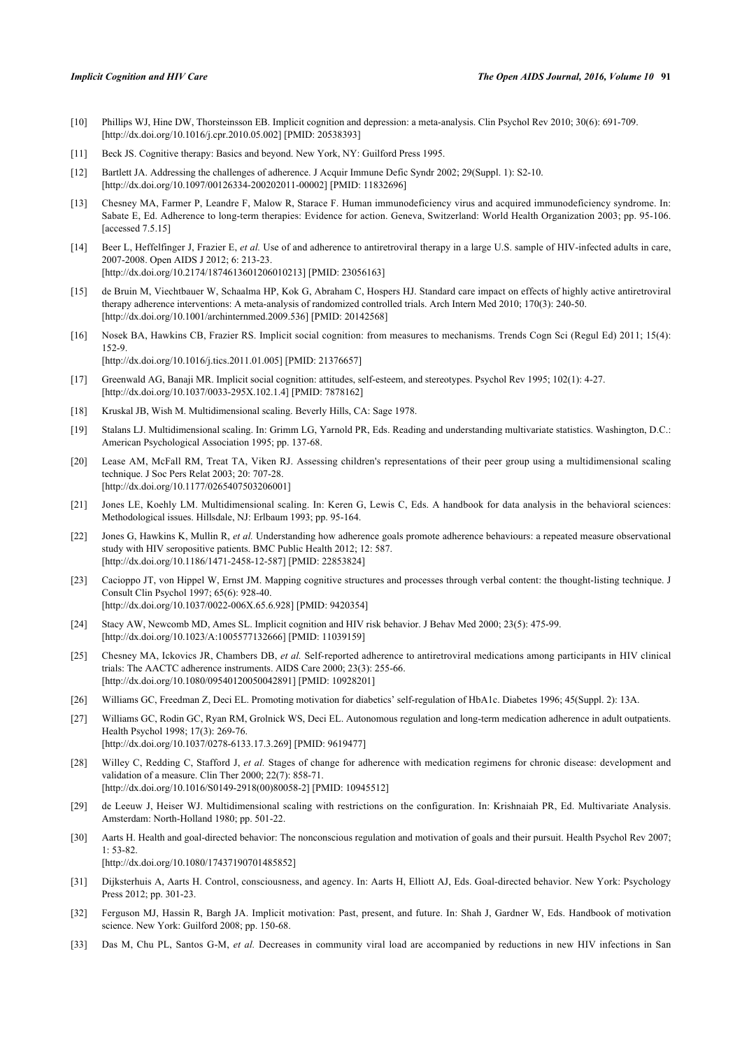- <span id="page-8-0"></span>[10] Phillips WJ, Hine DW, Thorsteinsson EB. Implicit cognition and depression: a meta-analysis. Clin Psychol Rev 2010; 30(6): 691-709. [\[http://dx.doi.org/10.1016/j.cpr.2010.05.002](http://dx.doi.org/10.1016/j.cpr.2010.05.002)] [PMID: [20538393\]](http://www.ncbi.nlm.nih.gov/pubmed/20538393)
- <span id="page-8-1"></span>[11] Beck JS. Cognitive therapy: Basics and beyond. New York, NY: Guilford Press 1995.
- <span id="page-8-2"></span>[12] Bartlett JA. Addressing the challenges of adherence. J Acquir Immune Defic Syndr 2002; 29(Suppl. 1): S2-10. [\[http://dx.doi.org/10.1097/00126334-200202011-00002](http://dx.doi.org/10.1097/00126334-200202011-00002)] [PMID: [11832696\]](http://www.ncbi.nlm.nih.gov/pubmed/11832696)
- <span id="page-8-3"></span>[13] Chesney MA, Farmer P, Leandre F, Malow R, Starace F. Human immunodeficiency virus and acquired immunodeficiency syndrome. In: Sabate E, Ed. Adherence to long-term therapies: Evidence for action. Geneva, Switzerland: World Health Organization 2003; pp. 95-106. [accessed 7.5.15]
- <span id="page-8-4"></span>[14] Beer L, Heffelfinger J, Frazier E, *et al.* Use of and adherence to antiretroviral therapy in a large U.S. sample of HIV-infected adults in care, 2007-2008. Open AIDS J 2012; 6: 213-23. [\[http://dx.doi.org/10.2174/1874613601206010213\]](http://dx.doi.org/10.2174/1874613601206010213) [PMID: [23056163](http://www.ncbi.nlm.nih.gov/pubmed/23056163)]
- <span id="page-8-5"></span>[15] de Bruin M, Viechtbauer W, Schaalma HP, Kok G, Abraham C, Hospers HJ. Standard care impact on effects of highly active antiretroviral therapy adherence interventions: A meta-analysis of randomized controlled trials. Arch Intern Med 2010; 170(3): 240-50. [\[http://dx.doi.org/10.1001/archinternmed.2009.536](http://dx.doi.org/10.1001/archinternmed.2009.536)] [PMID: [20142568\]](http://www.ncbi.nlm.nih.gov/pubmed/20142568)
- <span id="page-8-6"></span>[16] Nosek BA, Hawkins CB, Frazier RS. Implicit social cognition: from measures to mechanisms. Trends Cogn Sci (Regul Ed) 2011; 15(4): 152-9. [\[http://dx.doi.org/10.1016/j.tics.2011.01.005](http://dx.doi.org/10.1016/j.tics.2011.01.005)] [PMID: [21376657\]](http://www.ncbi.nlm.nih.gov/pubmed/21376657)
- <span id="page-8-7"></span>[17] Greenwald AG, Banaji MR. Implicit social cognition: attitudes, self-esteem, and stereotypes. Psychol Rev 1995; 102(1): 4-27. [\[http://dx.doi.org/10.1037/0033-295X.102.1.4](http://dx.doi.org/10.1037/0033-295X.102.1.4)] [PMID: [7878162\]](http://www.ncbi.nlm.nih.gov/pubmed/7878162)
- <span id="page-8-8"></span>[18] Kruskal JB, Wish M. Multidimensional scaling. Beverly Hills, CA: Sage 1978.
- <span id="page-8-9"></span>[19] Stalans LJ. Multidimensional scaling. In: Grimm LG, Yarnold PR, Eds. Reading and understanding multivariate statistics. Washington, D.C.: American Psychological Association 1995; pp. 137-68.
- <span id="page-8-10"></span>[20] Lease AM, McFall RM, Treat TA, Viken RJ. Assessing children's representations of their peer group using a multidimensional scaling technique. J Soc Pers Relat 2003; 20: 707-28. [\[http://dx.doi.org/10.1177/0265407503206001\]](http://dx.doi.org/10.1177/0265407503206001)
- <span id="page-8-11"></span>[21] Jones LE, Koehly LM. Multidimensional scaling. In: Keren G, Lewis C, Eds. A handbook for data analysis in the behavioral sciences: Methodological issues. Hillsdale, NJ: Erlbaum 1993; pp. 95-164.
- <span id="page-8-12"></span>[22] Jones G, Hawkins K, Mullin R, *et al.* Understanding how adherence goals promote adherence behaviours: a repeated measure observational study with HIV seropositive patients. BMC Public Health 2012; 12: 587. [\[http://dx.doi.org/10.1186/1471-2458-12-587\]](http://dx.doi.org/10.1186/1471-2458-12-587) [PMID: [22853824](http://www.ncbi.nlm.nih.gov/pubmed/22853824)]
- <span id="page-8-13"></span>[23] Cacioppo JT, von Hippel W, Ernst JM. Mapping cognitive structures and processes through verbal content: the thought-listing technique. J Consult Clin Psychol 1997; 65(6): 928-40. [\[http://dx.doi.org/10.1037/0022-006X.65.6.928](http://dx.doi.org/10.1037/0022-006X.65.6.928)] [PMID: [9420354\]](http://www.ncbi.nlm.nih.gov/pubmed/9420354)
- <span id="page-8-14"></span>[24] Stacy AW, Newcomb MD, Ames SL. Implicit cognition and HIV risk behavior. J Behav Med 2000; 23(5): 475-99. [\[http://dx.doi.org/10.1023/A:1005577132666\]](http://dx.doi.org/10.1023/A:1005577132666) [PMID: [11039159](http://www.ncbi.nlm.nih.gov/pubmed/11039159)]
- <span id="page-8-15"></span>[25] Chesney MA, Ickovics JR, Chambers DB, *et al.* Self-reported adherence to antiretroviral medications among participants in HIV clinical trials: The AACTC adherence instruments. AIDS Care 2000; 23(3): 255-66. [\[http://dx.doi.org/10.1080/09540120050042891\]](http://dx.doi.org/10.1080/09540120050042891) [PMID: [10928201](http://www.ncbi.nlm.nih.gov/pubmed/10928201)]
- [26] Williams GC, Freedman Z, Deci EL. Promoting motivation for diabetics' self-regulation of HbA1c. Diabetes 1996; 45(Suppl. 2): 13A.
- [27] Williams GC, Rodin GC, Ryan RM, Grolnick WS, Deci EL. Autonomous regulation and long-term medication adherence in adult outpatients. Health Psychol 1998; 17(3): 269-76. [\[http://dx.doi.org/10.1037/0278-6133.17.3.269](http://dx.doi.org/10.1037/0278-6133.17.3.269)] [PMID: [9619477](http://www.ncbi.nlm.nih.gov/pubmed/9619477)]
- <span id="page-8-16"></span>[28] Willey C, Redding C, Stafford J, *et al.* Stages of change for adherence with medication regimens for chronic disease: development and validation of a measure. Clin Ther 2000; 22(7): 858-71. [\[http://dx.doi.org/10.1016/S0149-2918\(00\)80058-2\]](http://dx.doi.org/10.1016/S0149-2918(00)80058-2) [PMID: [10945512](http://www.ncbi.nlm.nih.gov/pubmed/10945512)]
- <span id="page-8-17"></span>[29] de Leeuw J, Heiser WJ. Multidimensional scaling with restrictions on the configuration. In: Krishnaiah PR, Ed. Multivariate Analysis. Amsterdam: North-Holland 1980; pp. 501-22.
- <span id="page-8-18"></span>[30] Aarts H. Health and goal-directed behavior: The nonconscious regulation and motivation of goals and their pursuit. Health Psychol Rev 2007; 1: 53-82. [\[http://dx.doi.org/10.1080/17437190701485852\]](http://dx.doi.org/10.1080/17437190701485852)
- [31] Dijksterhuis A, Aarts H. Control, consciousness, and agency. In: Aarts H, Elliott AJ, Eds. Goal-directed behavior. New York: Psychology Press 2012; pp. 301-23.
- <span id="page-8-19"></span>[32] Ferguson MJ, Hassin R, Bargh JA. Implicit motivation: Past, present, and future. In: Shah J, Gardner W, Eds. Handbook of motivation science. New York: Guilford 2008; pp. 150-68.
- <span id="page-8-20"></span>[33] Das M, Chu PL, Santos G-M, *et al.* Decreases in community viral load are accompanied by reductions in new HIV infections in San